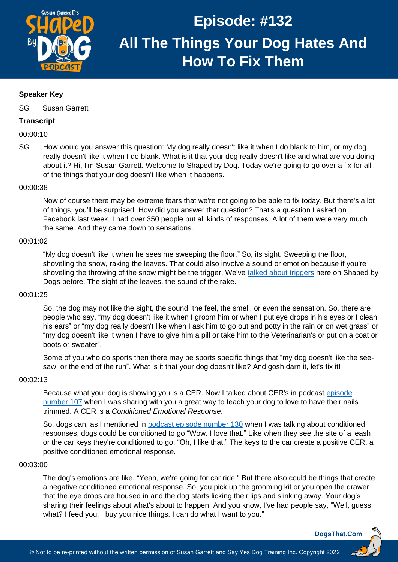

## **Speaker Key**

SG Susan Garrett

## **Transcript**

00:00:10

SG How would you answer this question: My dog really doesn't like it when I do blank to him, or my dog really doesn't like it when I do blank. What is it that your dog really doesn't like and what are you doing about it? Hi, I'm Susan Garrett. Welcome to Shaped by Dog. Today we're going to go over a fix for all of the things that your dog doesn't like when it happens.

## 00:00:38

Now of course there may be extreme fears that we're not going to be able to fix today. But there's a lot of things, you'll be surprised. How did you answer that question? That's a question I asked on Facebook last week. I had over 350 people put all kinds of responses. A lot of them were very much the same. And they came down to sensations.

## 00:01:02

"My dog doesn't like it when he sees me sweeping the floor." So, its sight. Sweeping the floor, shoveling the snow, raking the leaves. That could also involve a sound or emotion because if you're shoveling the throwing of the snow might be the trigger. We've [talked about triggers](https://dogsthat.com/podcast/112/) here on Shaped by Dogs before. The sight of the leaves, the sound of the rake.

### 00:01:25

So, the dog may not like the sight, the sound, the feel, the smell, or even the sensation. So, there are people who say, "my dog doesn't like it when I groom him or when I put eye drops in his eyes or I clean his ears" or "my dog really doesn't like when I ask him to go out and potty in the rain or on wet grass" or "my dog doesn't like it when I have to give him a pill or take him to the Veterinarian's or put on a coat or boots or sweater".

Some of you who do sports then there may be sports specific things that "my dog doesn't like the seesaw, or the end of the run". What is it that your dog doesn't like? And gosh darn it, let's fix it!

## 00:02:13

Because what your dog is showing you is a CER. Now I talked about CER's in podcast [episode](https://dogsthat.com/podcast/107/)  [number 107](https://dogsthat.com/podcast/107/) when I was sharing with you a great way to teach your dog to love to have their nails trimmed. A CER is a *Conditioned Emotional Response*.

So, dogs can, as I mentioned in podcast [episode number 130](https://dogsthat.com/podcast/130/) when I was talking about conditioned responses, dogs could be conditioned to go "Wow. I love that." Like when they see the site of a leash or the car keys they're conditioned to go, "Oh, I like that." The keys to the car create a positive CER, a positive conditioned emotional response.

### 00:03:00

The dog's emotions are like, "Yeah, we're going for car ride." But there also could be things that create a negative conditioned emotional response. So, you pick up the grooming kit or you open the drawer that the eye drops are housed in and the dog starts licking their lips and slinking away. Your dog's sharing their feelings about what's about to happen. And you know, I've had people say, "Well, guess what? I feed you. I buy you nice things. I can do what I want to you."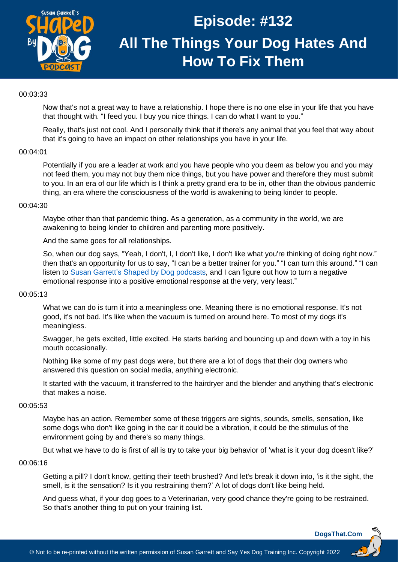

## 00:03:33

Now that's not a great way to have a relationship. I hope there is no one else in your life that you have that thought with. "I feed you. I buy you nice things. I can do what I want to you."

Really, that's just not cool. And I personally think that if there's any animal that you feel that way about that it's going to have an impact on other relationships you have in your life.

#### 00:04:01

Potentially if you are a leader at work and you have people who you deem as below you and you may not feed them, you may not buy them nice things, but you have power and therefore they must submit to you. In an era of our life which is I think a pretty grand era to be in, other than the obvious pandemic thing, an era where the consciousness of the world is awakening to being kinder to people.

#### 00:04:30

Maybe other than that pandemic thing. As a generation, as a community in the world, we are awakening to being kinder to children and parenting more positively.

And the same goes for all relationships.

So, when our dog says, "Yeah, I don't, I, I don't like, I don't like what you're thinking of doing right now." then that's an opportunity for us to say, "I can be a better trainer for you." "I can turn this around." "I can listen to [Susan Garrett's Shaped by Dog podcasts,](https://dogsthat.com/podcast-all-episodes/) and I can figure out how to turn a negative emotional response into a positive emotional response at the very, very least."

### 00:05:13

What we can do is turn it into a meaningless one. Meaning there is no emotional response. It's not good, it's not bad. It's like when the vacuum is turned on around here. To most of my dogs it's meaningless.

Swagger, he gets excited, little excited. He starts barking and bouncing up and down with a toy in his mouth occasionally.

Nothing like some of my past dogs were, but there are a lot of dogs that their dog owners who answered this question on social media, anything electronic.

It started with the vacuum, it transferred to the hairdryer and the blender and anything that's electronic that makes a noise.

#### 00:05:53

Maybe has an action. Remember some of these triggers are sights, sounds, smells, sensation, like some dogs who don't like going in the car it could be a vibration, it could be the stimulus of the environment going by and there's so many things.

But what we have to do is first of all is try to take your big behavior of 'what is it your dog doesn't like?'

### 00:06:16

Getting a pill? I don't know, getting their teeth brushed? And let's break it down into, 'is it the sight, the smell, is it the sensation? Is it you restraining them?' A lot of dogs don't like being held.

And guess what, if your dog goes to a Veterinarian, very good chance they're going to be restrained. So that's another thing to put on your training list.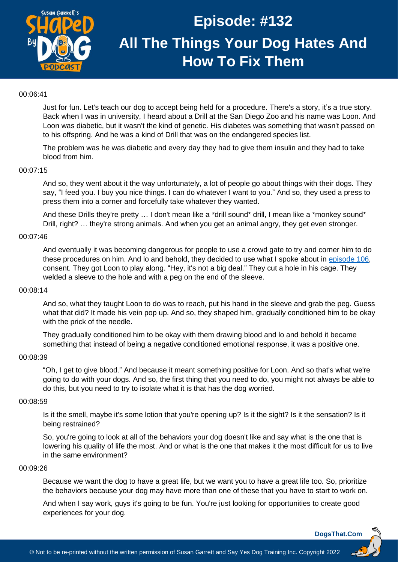

## 00:06:41

Just for fun. Let's teach our dog to accept being held for a procedure. There's a story, it's a true story. Back when I was in university, I heard about a Drill at the San Diego Zoo and his name was Loon. And Loon was diabetic, but it wasn't the kind of genetic. His diabetes was something that wasn't passed on to his offspring. And he was a kind of Drill that was on the endangered species list.

The problem was he was diabetic and every day they had to give them insulin and they had to take blood from him.

## 00:07:15

And so, they went about it the way unfortunately, a lot of people go about things with their dogs. They say, "I feed you. I buy you nice things. I can do whatever I want to you." And so, they used a press to press them into a corner and forcefully take whatever they wanted.

And these Drills they're pretty ... I don't mean like a \*drill sound\* drill, I mean like a \*monkey sound\* Drill, right? … they're strong animals. And when you get an animal angry, they get even stronger.

### 00:07:46

And eventually it was becoming dangerous for people to use a crowd gate to try and corner him to do these procedures on him. And lo and behold, they decided to use what I spoke about in [episode 106,](https://dogsthat.com/podcast/106/) consent. They got Loon to play along. "Hey, it's not a big deal." They cut a hole in his cage. They welded a sleeve to the hole and with a peg on the end of the sleeve.

### 00:08:14

And so, what they taught Loon to do was to reach, put his hand in the sleeve and grab the peg. Guess what that did? It made his vein pop up. And so, they shaped him, gradually conditioned him to be okay with the prick of the needle.

They gradually conditioned him to be okay with them drawing blood and lo and behold it became something that instead of being a negative conditioned emotional response, it was a positive one.

#### 00:08:39

"Oh, I get to give blood." And because it meant something positive for Loon. And so that's what we're going to do with your dogs. And so, the first thing that you need to do, you might not always be able to do this, but you need to try to isolate what it is that has the dog worried.

### 00:08:59

Is it the smell, maybe it's some lotion that you're opening up? Is it the sight? Is it the sensation? Is it being restrained?

So, you're going to look at all of the behaviors your dog doesn't like and say what is the one that is lowering his quality of life the most. And or what is the one that makes it the most difficult for us to live in the same environment?

#### 00:09:26

Because we want the dog to have a great life, but we want you to have a great life too. So, prioritize the behaviors because your dog may have more than one of these that you have to start to work on.

And when I say work, guys it's going to be fun. You're just looking for opportunities to create good experiences for your dog.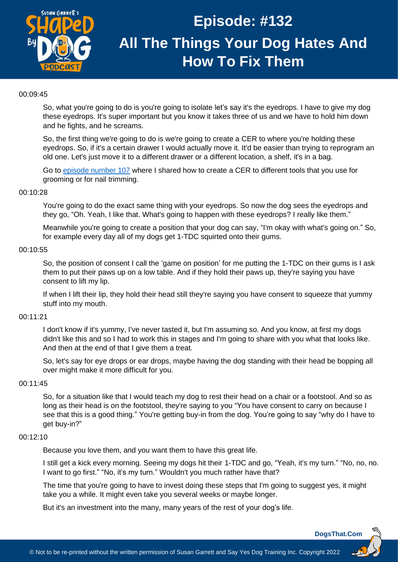

## 00:09:45

So, what you're going to do is you're going to isolate let's say it's the eyedrops. I have to give my dog these eyedrops. It's super important but you know it takes three of us and we have to hold him down and he fights, and he screams.

So, the first thing we're going to do is we're going to create a CER to where you're holding these eyedrops. So, if it's a certain drawer I would actually move it. It'd be easier than trying to reprogram an old one. Let's just move it to a different drawer or a different location, a shelf, it's in a bag.

Go to [episode number 107](https://dogsthat.com/podcast/107/) where I shared how to create a CER to different tools that you use for grooming or for nail trimming.

### 00:10:28

You're going to do the exact same thing with your eyedrops. So now the dog sees the eyedrops and they go, "Oh. Yeah, I like that. What's going to happen with these eyedrops? I really like them."

Meanwhile you're going to create a position that your dog can say, "I'm okay with what's going on." So, for example every day all of my dogs get 1-TDC squirted onto their gums.

### 00:10:55

So, the position of consent I call the 'game on position' for me putting the 1-TDC on their gums is I ask them to put their paws up on a low table. And if they hold their paws up, they're saying you have consent to lift my lip.

If when I lift their lip, they hold their head still they're saying you have consent to squeeze that yummy stuff into my mouth.

### 00:11:21

I don't know if it's yummy, I've never tasted it, but I'm assuming so. And you know, at first my dogs didn't like this and so I had to work this in stages and I'm going to share with you what that looks like. And then at the end of that I give them a treat.

So, let's say for eye drops or ear drops, maybe having the dog standing with their head be bopping all over might make it more difficult for you.

#### 00:11:45

So, for a situation like that I would teach my dog to rest their head on a chair or a footstool. And so as long as their head is on the footstool, they're saying to you "You have consent to carry on because I see that this is a good thing." You're getting buy-in from the dog. You're going to say "why do I have to get buy-in?"

### 00:12:10

Because you love them, and you want them to have this great life.

I still get a kick every morning. Seeing my dogs hit their 1-TDC and go, "Yeah, it's my turn." "No, no, no. I want to go first." "No, it's my turn." Wouldn't you much rather have that?

The time that you're going to have to invest doing these steps that I'm going to suggest yes, it might take you a while. It might even take you several weeks or maybe longer.

But it's an investment into the many, many years of the rest of your dog's life.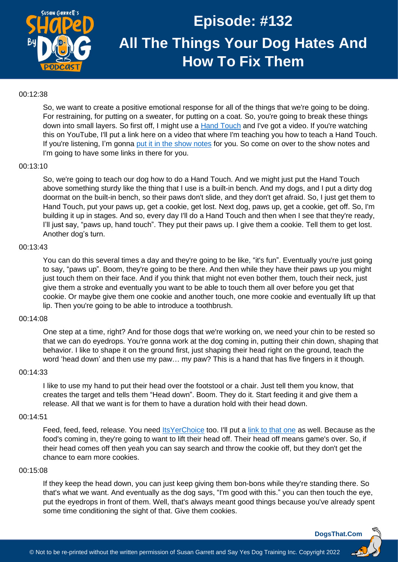

## 00:12:38

So, we want to create a positive emotional response for all of the things that we're going to be doing. For restraining, for putting on a sweater, for putting on a coat. So, you're going to break these things down into small layers. So first off, I might use a [Hand Touch](https://youtu.be/UUrzaXmFO2g) and I've got a video. If you're watching this on YouTube, I'll put a link here on a video that where I'm teaching you how to teach a Hand Touch. If you're listening, I'm gonna [put it in the show notes](https://youtu.be/UUrzaXmFO2g) for you. So come on over to the show notes and I'm going to have some links in there for you.

## 00:13:10

So, we're going to teach our dog how to do a Hand Touch. And we might just put the Hand Touch above something sturdy like the thing that I use is a built-in bench. And my dogs, and I put a dirty dog doormat on the built-in bench, so their paws don't slide, and they don't get afraid. So, I just get them to Hand Touch, put your paws up, get a cookie, get lost. Next dog, paws up, get a cookie, get off. So, I'm building it up in stages. And so, every day I'll do a Hand Touch and then when I see that they're ready, I'll just say, "paws up, hand touch". They put their paws up. I give them a cookie. Tell them to get lost. Another dog's turn.

## 00:13:43

You can do this several times a day and they're going to be like, "it's fun". Eventually you're just going to say, "paws up". Boom, they're going to be there. And then while they have their paws up you might just touch them on their face. And if you think that might not even bother them, touch their neck, just give them a stroke and eventually you want to be able to touch them all over before you get that cookie. Or maybe give them one cookie and another touch, one more cookie and eventually lift up that lip. Then you're going to be able to introduce a toothbrush.

### 00:14:08

One step at a time, right? And for those dogs that we're working on, we need your chin to be rested so that we can do eyedrops. You're gonna work at the dog coming in, putting their chin down, shaping that behavior. I like to shape it on the ground first, just shaping their head right on the ground, teach the word 'head down' and then use my paw… my paw? This is a hand that has five fingers in it though.

### 00:14:33

I like to use my hand to put their head over the footstool or a chair. Just tell them you know, that creates the target and tells them "Head down". Boom. They do it. Start feeding it and give them a release. All that we want is for them to have a duration hold with their head down.

### 00:14:51

Feed, feed, feed, release. You need Its YerChoice too. I'll put a [link to that one](https://recallers.com/iycsummit-join/) as well. Because as the food's coming in, they're going to want to lift their head off. Their head off means game's over. So, if their head comes off then yeah you can say search and throw the cookie off, but they don't get the chance to earn more cookies.

### 00:15:08

If they keep the head down, you can just keep giving them bon-bons while they're standing there. So that's what we want. And eventually as the dog says, "I'm good with this." you can then touch the eye, put the eyedrops in front of them. Well, that's always meant good things because you've already spent some time conditioning the sight of that. Give them cookies.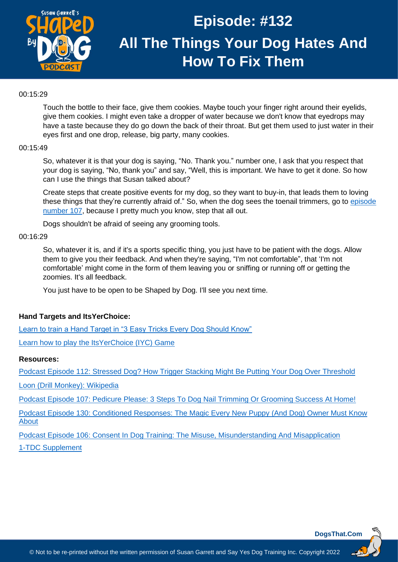

## 00:15:29

Touch the bottle to their face, give them cookies. Maybe touch your finger right around their eyelids, give them cookies. I might even take a dropper of water because we don't know that eyedrops may have a taste because they do go down the back of their throat. But get them used to just water in their eyes first and one drop, release, big party, many cookies.

## 00:15:49

So, whatever it is that your dog is saying, "No. Thank you." number one, I ask that you respect that your dog is saying, "No, thank you" and say, "Well, this is important. We have to get it done. So how can I use the things that Susan talked about?

Create steps that create positive events for my dog, so they want to buy-in, that leads them to loving these things that they're currently afraid of." So, when the dog sees the toenail trimmers, go to [episode](https://dogsthat.com/podcast/107/)  [number 107,](https://dogsthat.com/podcast/107/) because I pretty much you know, step that all out.

Dogs shouldn't be afraid of seeing any grooming tools.

## 00:16:29

So, whatever it is, and if it's a sports specific thing, you just have to be patient with the dogs. Allow them to give you their feedback. And when they're saying, "I'm not comfortable", that 'I'm not comfortable' might come in the form of them leaving you or sniffing or running off or getting the zoomies. It's all feedback.

You just have to be open to be Shaped by Dog. I'll see you next time.

## **Hand Targets and ItsYerChoice:**

[Learn to train a Hand Target in "3 Easy Tricks Every Dog Should Know"](https://youtu.be/UUrzaXmFO2g)

[Learn how to play the ItsYerChoice \(IYC\) Game](https://recallers.com/iycsummit-join/)

### **Resources:**

[Podcast Episode 112: Stressed Dog? How Trigger Stacking Might Be Putting Your Dog Over Threshold](https://dogsthat.com/podcast/112/)

[Loon \(Drill Monkey\):](https://en.wikipedia.org/wiki/Loon_(monkey)) Wikipedia

[Podcast Episode 107: Pedicure Please: 3 Steps To Dog Nail Trimming Or Grooming Success At Home!](https://dogsthat.com/podcast/107/)

[Podcast Episode 130: Conditioned Responses: The Magic Every New Puppy \(And Dog\) Owner Must Know](https://dogsthat.com/podcast/130/)  [About](https://dogsthat.com/podcast/130/)

[Podcast Episode 106: Consent In Dog Training: The Misuse, Misunderstanding And Misapplication](https://dogsthat.com/podcast/106/) [1-TDC Supplement](https://wsow.expert/dogsthatUse1TDC)